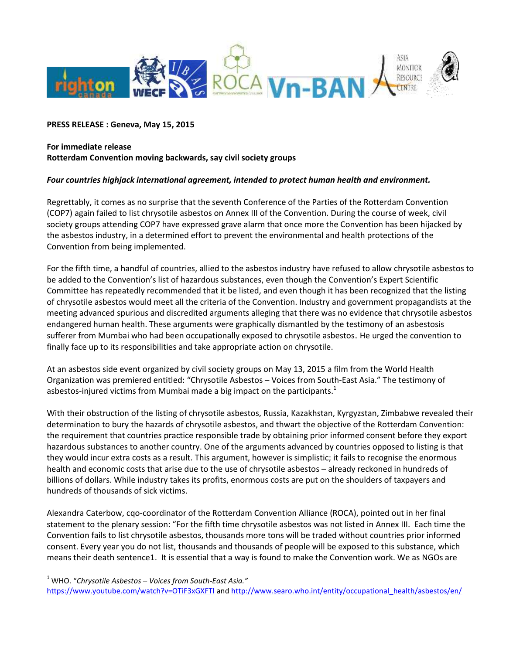

## **PRESS RELEASE : Geneva, May 15, 2015**

## **For immediate release Rotterdam Convention moving backwards, say civil society groups**

## *Four countries highjack international agreement, intended to protect human health and environment.*

Regrettably, it comes as no surprise that the seventh Conference of the Parties of the Rotterdam Convention (COP7) again failed to list chrysotile asbestos on Annex III of the Convention. During the course of week, civil society groups attending COP7 have expressed grave alarm that once more the Convention has been hijacked by the asbestos industry, in a determined effort to prevent the environmental and health protections of the Convention from being implemented.

For the fifth time, a handful of countries, allied to the asbestos industry have refused to allow chrysotile asbestos to be added to the Convention's list of hazardous substances, even though the Convention's Expert Scientific Committee has repeatedly recommended that it be listed, and even though it has been recognized that the listing of chrysotile asbestos would meet all the criteria of the Convention. Industry and government propagandists at the meeting advanced spurious and discredited arguments alleging that there was no evidence that chrysotile asbestos endangered human health. These arguments were graphically dismantled by the testimony of an asbestosis sufferer from Mumbai who had been occupationally exposed to chrysotile asbestos. He urged the convention to finally face up to its responsibilities and take appropriate action on chrysotile.

At an asbestos side event organized by civil society groups on May 13, 2015 a film from the World Health Organization was premiered entitled: "Chrysotile Asbestos – Voices from South-East Asia." The testimony of asbestos-injured victims from Mumbai made a big impact on the participants. $1$ 

With their obstruction of the listing of chrysotile asbestos, Russia, Kazakhstan, Kyrgyzstan, Zimbabwe revealed their determination to bury the hazards of chrysotile asbestos, and thwart the objective of the Rotterdam Convention: the requirement that countries practice responsible trade by obtaining prior informed consent before they export hazardous substances to another country. One of the arguments advanced by countries opposed to listing is that they would incur extra costs as a result. This argument, however is simplistic; it fails to recognise the enormous health and economic costs that arise due to the use of chrysotile asbestos – already reckoned in hundreds of billions of dollars. While industry takes its profits, enormous costs are put on the shoulders of taxpayers and hundreds of thousands of sick victims.

Alexandra Caterbow, cqo-coordinator of the Rotterdam Convention Alliance (ROCA), pointed out in her final statement to the plenary session: "For the fifth time chrysotile asbestos was not listed in Annex III. Each time the Convention fails to list chrysotile asbestos, thousands more tons will be traded without countries prior informed consent. Every year you do not list, thousands and thousands of people will be exposed to this substance, which means their death sentence1. It is essential that a way is found to make the Convention work. We as NGOs are

 $\overline{a}$ 

<https://www.youtube.com/watch?v=OTiF3xGXFTI> and [http://www.searo.who.int/entity/occupational\\_health/asbestos/en/](http://www.searo.who.int/entity/occupational_health/asbestos/en/)

<sup>1</sup> WHO. "*Chrysotile Asbestos – Voices from South-East Asia."*